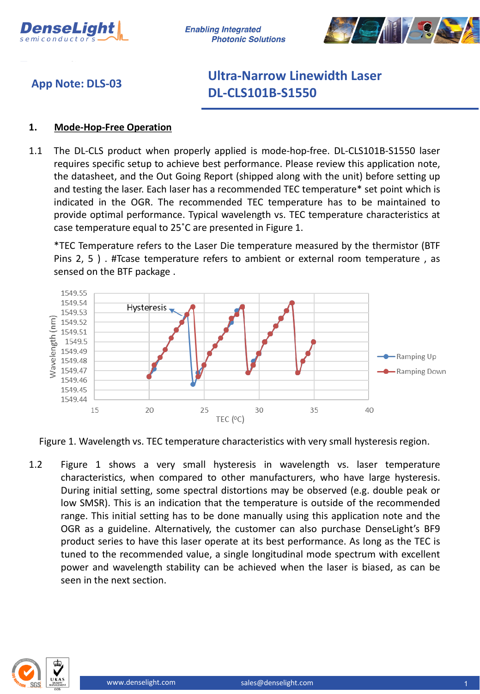

**Enabling Integrated Photonic Solutions** 



## **App Note: DLS-03**

# **Ultra-Narrow Linewidth Laser DL-CLS101B-S1550**

### **1. Mode-Hop-Free Operation**

1.1 The DL-CLS product when properly applied is mode-hop-free. DL-CLS101B-S1550 laser requires specific setup to achieve best performance. Please review this application note, the datasheet, and the Out Going Report (shipped along with the unit) before setting up and testing the laser. Each laser has a recommended TEC temperature\* set point which is indicated in the OGR. The recommended TEC temperature has to be maintained to provide optimal performance. Typical wavelength vs. TEC temperature characteristics at case temperature equal to 25˚C are presented in Figure 1.

\*TEC Temperature refers to the Laser Die temperature measured by the thermistor (BTF Pins 2, 5 ) . #Tcase temperature refers to ambient or external room temperature , as sensed on the BTF package .



Figure 1. Wavelength vs. TEC temperature characteristics with very small hysteresis region.

1.2 Figure 1 shows a very small hysteresis in wavelength vs. laser temperature characteristics, when compared to other manufacturers, who have large hysteresis. During initial setting, some spectral distortions may be observed (e.g. double peak or low SMSR). This is an indication that the temperature is outside of the recommended range. This initial setting has to be done manually using this application note and the OGR as a guideline. Alternatively, the customer can also purchase DenseLight's BF9 product series to have this laser operate at its best performance. As long as the TEC is tuned to the recommended value, a single longitudinal mode spectrum with excellent power and wavelength stability can be achieved when the laser is biased, as can be seen in the next section.

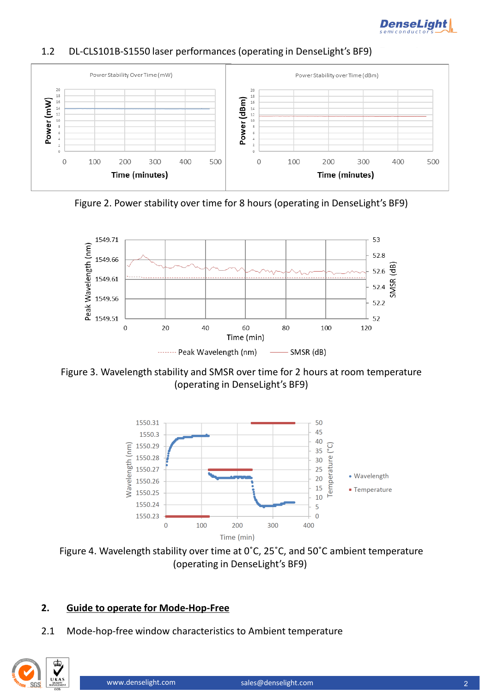

### 1.2 DL-CLS101B-S1550 laser performances (operating in DenseLight's BF9)



Figure 2. Power stability over time for 8 hours (operating in DenseLight's BF9)



Figure 3. Wavelength stability and SMSR over time for 2 hours at room temperature (operating in DenseLight's BF9)



Figure 4. Wavelength stability over time at 0˚C, 25˚C, and 50˚C ambient temperature (operating in DenseLight's BF9)

### **2. Guide to operate for Mode-Hop-Free**

2.1 Mode-hop-free window characteristics to Ambient temperature

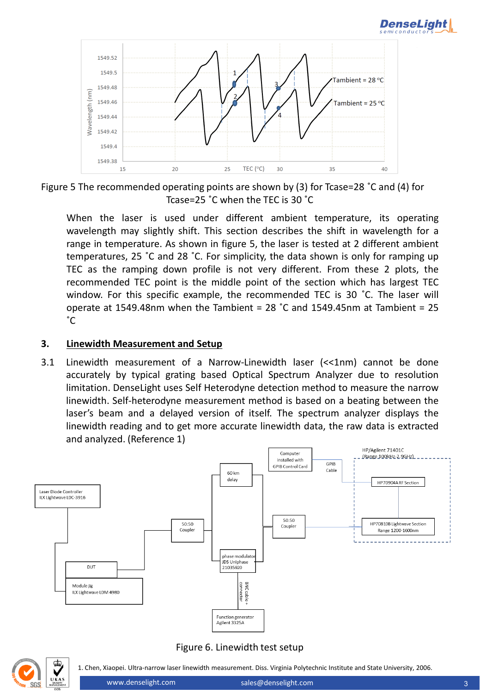





When the laser is used under different ambient temperature, its operating wavelength may slightly shift. This section describes the shift in wavelength for a range in temperature. As shown in figure 5, the laser is tested at 2 different ambient temperatures, 25 ˚C and 28 ˚C. For simplicity, the data shown is only for ramping up TEC as the ramping down profile is not very different. From these 2 plots, the recommended TEC point is the middle point of the section which has largest TEC window. For this specific example, the recommended TEC is 30 ˚C. The laser will operate at 1549.48nm when the Tambient = 28 ˚C and 1549.45nm at Tambient = 25  $\degree$ C

#### **3. Linewidth Measurement and Setup**

3.1 Linewidth measurement of a Narrow-Linewidth laser (<<1nm) cannot be done accurately by typical grating based Optical Spectrum Analyzer due to resolution limitation. DenseLight uses Self Heterodyne detection method to measure the narrow linewidth. Self-heterodyne measurement method is based on a beating between the laser's beam and a delayed version of itself. The spectrum analyzer displays the linewidth reading and to get more accurate linewidth data, the raw data is extracted and analyzed. (Reference 1)



#### Figure 6. Linewidth test setup



1. Chen, Xiaopei. Ultra-narrow laser linewidth measurement. Diss. Virginia Polytechnic Institute and State University, 2006.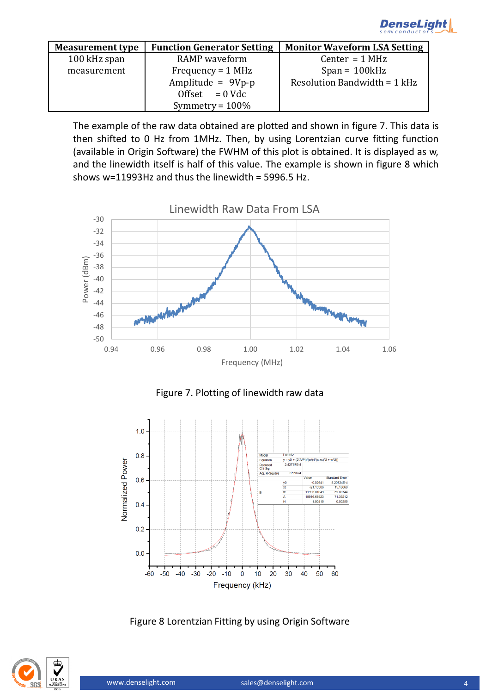

| <b>Measurement type</b> | <b>Function Generator Setting</b> | <b>Monitor Waveform LSA Setting</b> |
|-------------------------|-----------------------------------|-------------------------------------|
| 100 kHz span            | <b>RAMP</b> waveform              | Center = $1 MHz$                    |
| measurement             | Frequency = $1$ MHz               | $Span = 100kHz$                     |
|                         | Amplitude = $9Vp-p$               | Resolution Bandwidth = 1 kHz        |
|                         | Offset $= 0$ Vdc                  |                                     |
|                         | Symmetry = $100\%$                |                                     |

The example of the raw data obtained are plotted and shown in figure 7. This data is then shifted to 0 Hz from 1MHz. Then, by using Lorentzian curve fitting function (available in Origin Software) the FWHM of this plot is obtained. It is displayed as w, and the linewidth itself is half of this value. The example is shown in figure 8 which shows w=11993Hz and thus the linewidth = 5996.5 Hz.



Figure 7. Plotting of linewidth raw data



Figure 8 Lorentzian Fitting by using Origin Software